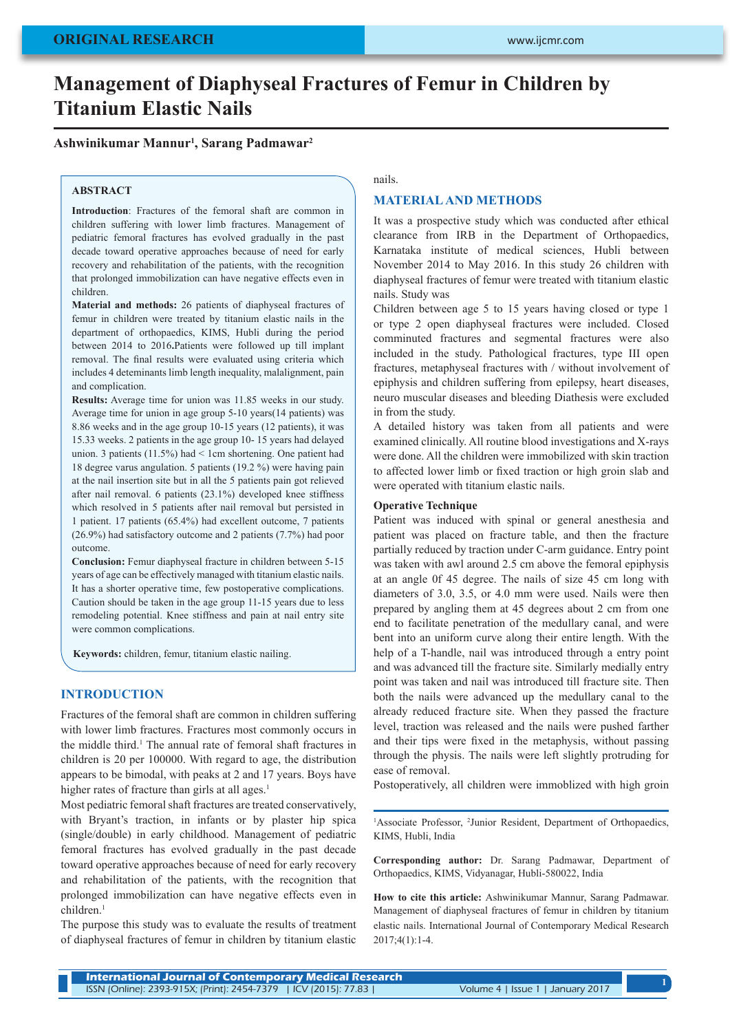# **Management of Diaphyseal Fractures of Femur in Children by Titanium Elastic Nails**

# **Ashwinikumar Mannur1 , Sarang Padmawar2**

# **ABSTRACT**

**Introduction**: Fractures of the femoral shaft are common in children suffering with lower limb fractures. Management of pediatric femoral fractures has evolved gradually in the past decade toward operative approaches because of need for early recovery and rehabilitation of the patients, with the recognition that prolonged immobilization can have negative effects even in children.

**Material and methods:** 26 patients of diaphyseal fractures of femur in children were treated by titanium elastic nails in the department of orthopaedics, KIMS, Hubli during the period between 2014 to 2016**.**Patients were followed up till implant removal. The final results were evaluated using criteria which includes 4 deteminants limb length inequality, malalignment, pain and complication.

**Results:** Average time for union was 11.85 weeks in our study. Average time for union in age group 5-10 years(14 patients) was 8.86 weeks and in the age group 10-15 years (12 patients), it was 15.33 weeks. 2 patients in the age group 10- 15 years had delayed union. 3 patients (11.5%) had < 1cm shortening. One patient had 18 degree varus angulation. 5 patients (19.2 %) were having pain at the nail insertion site but in all the 5 patients pain got relieved after nail removal. 6 patients (23.1%) developed knee stiffness which resolved in 5 patients after nail removal but persisted in 1 patient. 17 patients (65.4%) had excellent outcome, 7 patients (26.9%) had satisfactory outcome and 2 patients (7.7%) had poor outcome.

**Conclusion:** Femur diaphyseal fracture in children between 5-15 years of age can be effectively managed with titanium elastic nails. It has a shorter operative time, few postoperative complications. Caution should be taken in the age group 11-15 years due to less remodeling potential. Knee stiffness and pain at nail entry site were common complications.

**Keywords:** children, femur, titanium elastic nailing.

# **INTRODUCTION**

Fractures of the femoral shaft are common in children suffering with lower limb fractures. Fractures most commonly occurs in the middle third.<sup>1</sup> The annual rate of femoral shaft fractures in children is 20 per 100000. With regard to age, the distribution appears to be bimodal, with peaks at 2 and 17 years. Boys have higher rates of fracture than girls at all ages.<sup>1</sup>

Most pediatric femoral shaft fractures are treated conservatively, with Bryant's traction, in infants or by plaster hip spica (single/double) in early childhood. Management of pediatric femoral fractures has evolved gradually in the past decade toward operative approaches because of need for early recovery and rehabilitation of the patients, with the recognition that prolonged immobilization can have negative effects even in children<sup>1</sup>

The purpose this study was to evaluate the results of treatment of diaphyseal fractures of femur in children by titanium elastic

#### nails.

## **MATERIAL AND METHODS**

It was a prospective study which was conducted after ethical clearance from IRB in the Department of Orthopaedics, Karnataka institute of medical sciences, Hubli between November 2014 to May 2016. In this study 26 children with diaphyseal fractures of femur were treated with titanium elastic nails. Study was

Children between age 5 to 15 years having closed or type 1 or type 2 open diaphyseal fractures were included. Closed comminuted fractures and segmental fractures were also included in the study. Pathological fractures, type III open fractures, metaphyseal fractures with / without involvement of epiphysis and children suffering from epilepsy, heart diseases, neuro muscular diseases and bleeding Diathesis were excluded in from the study.

A detailed history was taken from all patients and were examined clinically. All routine blood investigations and X-rays were done. All the children were immobilized with skin traction to affected lower limb or fixed traction or high groin slab and were operated with titanium elastic nails.

#### **Operative Technique**

Patient was induced with spinal or general anesthesia and patient was placed on fracture table, and then the fracture partially reduced by traction under C-arm guidance. Entry point was taken with awl around 2.5 cm above the femoral epiphysis at an angle 0f 45 degree. The nails of size 45 cm long with diameters of 3.0, 3.5, or 4.0 mm were used. Nails were then prepared by angling them at 45 degrees about 2 cm from one end to facilitate penetration of the medullary canal, and were bent into an uniform curve along their entire length. With the help of a T-handle, nail was introduced through a entry point and was advanced till the fracture site. Similarly medially entry point was taken and nail was introduced till fracture site. Then both the nails were advanced up the medullary canal to the already reduced fracture site. When they passed the fracture level, traction was released and the nails were pushed farther and their tips were fixed in the metaphysis, without passing through the physis. The nails were left slightly protruding for ease of removal.

Postoperatively, all children were immoblized with high groin

<sup>1</sup>Associate Professor, <sup>2</sup>Junior Resident, Department of Orthopaedics, KIMS, Hubli, India

**Corresponding author:** Dr. Sarang Padmawar, Department of Orthopaedics, KIMS, Vidyanagar, Hubli-580022, India

**How to cite this article:** Ashwinikumar Mannur, Sarang Padmawar. Management of diaphyseal fractures of femur in children by titanium elastic nails. International Journal of Contemporary Medical Research 2017;4(1):1-4.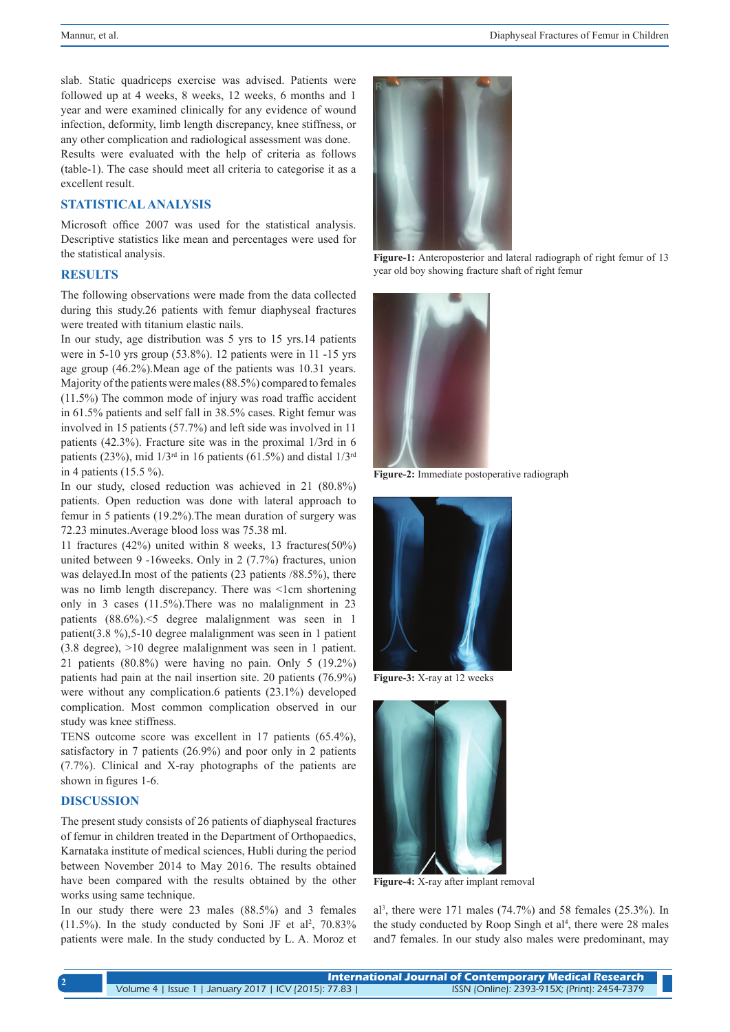slab. Static quadriceps exercise was advised. Patients were followed up at 4 weeks, 8 weeks, 12 weeks, 6 months and 1 year and were examined clinically for any evidence of wound infection, deformity, limb length discrepancy, knee stiffness, or any other complication and radiological assessment was done. Results were evaluated with the help of criteria as follows (table-1). The case should meet all criteria to categorise it as a

#### **STATISTICAL ANALYSIS**

Microsoft office 2007 was used for the statistical analysis. Descriptive statistics like mean and percentages were used for the statistical analysis.

## **RESULTS**

excellent result.

The following observations were made from the data collected during this study.26 patients with femur diaphyseal fractures were treated with titanium elastic nails.

In our study, age distribution was 5 yrs to 15 yrs.14 patients were in 5-10 yrs group (53.8%). 12 patients were in 11 -15 yrs age group (46.2%).Mean age of the patients was 10.31 years. Majority of the patients were males (88.5%) compared to females (11.5%) The common mode of injury was road traffic accident in 61.5% patients and self fall in 38.5% cases. Right femur was involved in 15 patients (57.7%) and left side was involved in 11 patients (42.3%). Fracture site was in the proximal 1/3rd in 6 patients (23%), mid  $1/3<sup>rd</sup>$  in 16 patients (61.5%) and distal  $1/3<sup>rd</sup>$ in 4 patients (15.5 %).

In our study, closed reduction was achieved in 21 (80.8%) patients. Open reduction was done with lateral approach to femur in 5 patients (19.2%).The mean duration of surgery was 72.23 minutes.Average blood loss was 75.38 ml.

11 fractures (42%) united within 8 weeks, 13 fractures(50%) united between 9 -16weeks. Only in 2 (7.7%) fractures, union was delayed.In most of the patients (23 patients /88.5%), there was no limb length discrepancy. There was <1cm shortening only in 3 cases (11.5%).There was no malalignment in 23 patients (88.6%).<5 degree malalignment was seen in 1 patient(3.8 %),5-10 degree malalignment was seen in 1 patient (3.8 degree), >10 degree malalignment was seen in 1 patient. 21 patients (80.8%) were having no pain. Only 5 (19.2%) patients had pain at the nail insertion site. 20 patients (76.9%) were without any complication.6 patients (23.1%) developed complication. Most common complication observed in our study was knee stiffness.

TENS outcome score was excellent in 17 patients (65.4%), satisfactory in 7 patients (26.9%) and poor only in 2 patients (7.7%). Clinical and X-ray photographs of the patients are shown in figures 1-6.

## **DISCUSSION**

The present study consists of 26 patients of diaphyseal fractures of femur in children treated in the Department of Orthopaedics, Karnataka institute of medical sciences, Hubli during the period between November 2014 to May 2016. The results obtained have been compared with the results obtained by the other works using same technique.

In our study there were 23 males (88.5%) and 3 females  $(11.5\%)$ . In the study conducted by Soni JF et al<sup>2</sup>, 70.83% patients were male. In the study conducted by L. A. Moroz et



**Figure-1:** Anteroposterior and lateral radiograph of right femur of 13 year old boy showing fracture shaft of right femur



**Figure-2:** Immediate postoperative radiograph



**Figure-3:** X-ray at 12 weeks



**Figure-4:** X-ray after implant removal

al3 , there were 171 males (74.7%) and 58 females (25.3%). In the study conducted by Roop Singh et  $al<sup>4</sup>$ , there were 28 males and7 females. In our study also males were predominant, may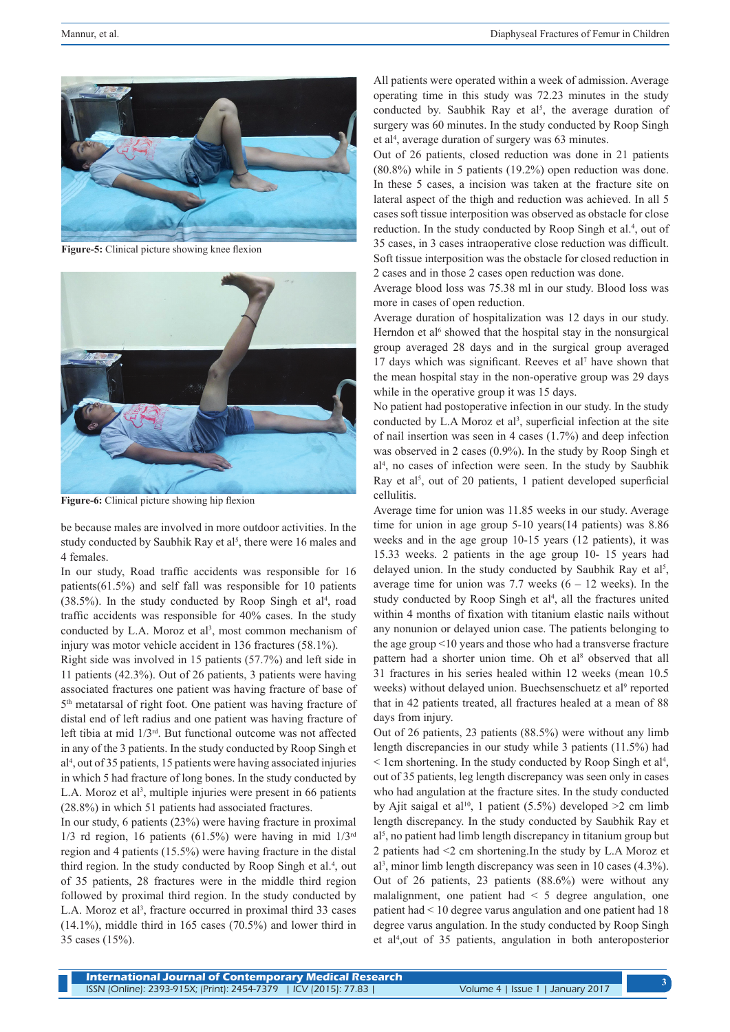

**Figure-5:** Clinical picture showing knee flexion



**Figure-6:** Clinical picture showing hip flexion

be because males are involved in more outdoor activities. In the study conducted by Saubhik Ray et al<sup>5</sup>, there were 16 males and 4 females.

In our study, Road traffic accidents was responsible for 16 patients(61.5%) and self fall was responsible for 10 patients  $(38.5\%)$ . In the study conducted by Roop Singh et al<sup>4</sup>, road traffic accidents was responsible for 40% cases. In the study conducted by L.A. Moroz et  $al^3$ , most common mechanism of injury was motor vehicle accident in 136 fractures (58.1%).

Right side was involved in 15 patients (57.7%) and left side in 11 patients (42.3%). Out of 26 patients, 3 patients were having associated fractures one patient was having fracture of base of 5th metatarsal of right foot. One patient was having fracture of distal end of left radius and one patient was having fracture of left tibia at mid 1/3rd. But functional outcome was not affected in any of the 3 patients. In the study conducted by Roop Singh et al4 , out of 35 patients, 15 patients were having associated injuries in which 5 had fracture of long bones. In the study conducted by L.A. Moroz et al<sup>3</sup>, multiple injuries were present in 66 patients (28.8%) in which 51 patients had associated fractures.

In our study, 6 patients (23%) were having fracture in proximal 1/3 rd region, 16 patients (61.5%) were having in mid  $1/3<sup>rd</sup>$ region and 4 patients (15.5%) were having fracture in the distal third region. In the study conducted by Roop Singh et al.<sup>4</sup>, out of 35 patients, 28 fractures were in the middle third region followed by proximal third region. In the study conducted by L.A. Moroz et al<sup>3</sup>, fracture occurred in proximal third 33 cases (14.1%), middle third in 165 cases (70.5%) and lower third in 35 cases (15%).

All patients were operated within a week of admission. Average operating time in this study was 72.23 minutes in the study conducted by. Saubhik Ray et al<sup>5</sup>, the average duration of surgery was 60 minutes. In the study conducted by Roop Singh et al<sup>4</sup>, average duration of surgery was 63 minutes.

Out of 26 patients, closed reduction was done in 21 patients (80.8%) while in 5 patients (19.2%) open reduction was done. In these 5 cases, a incision was taken at the fracture site on lateral aspect of the thigh and reduction was achieved. In all 5 cases soft tissue interposition was observed as obstacle for close reduction. In the study conducted by Roop Singh et al.<sup>4</sup>, out of 35 cases, in 3 cases intraoperative close reduction was difficult. Soft tissue interposition was the obstacle for closed reduction in 2 cases and in those 2 cases open reduction was done.

Average blood loss was 75.38 ml in our study. Blood loss was more in cases of open reduction.

Average duration of hospitalization was 12 days in our study. Herndon et al<sup>6</sup> showed that the hospital stay in the nonsurgical group averaged 28 days and in the surgical group averaged 17 days which was significant. Reeves et al<sup>7</sup> have shown that the mean hospital stay in the non-operative group was 29 days while in the operative group it was 15 days.

No patient had postoperative infection in our study. In the study conducted by L.A Moroz et al<sup>3</sup>, superficial infection at the site of nail insertion was seen in 4 cases (1.7%) and deep infection was observed in 2 cases (0.9%). In the study by Roop Singh et al4 , no cases of infection were seen. In the study by Saubhik Ray et al<sup>5</sup>, out of 20 patients, 1 patient developed superficial cellulitis.

Average time for union was 11.85 weeks in our study. Average time for union in age group 5-10 years(14 patients) was 8.86 weeks and in the age group 10-15 years (12 patients), it was 15.33 weeks. 2 patients in the age group 10- 15 years had delayed union. In the study conducted by Saubhik Ray et  $al^5$ , average time for union was 7.7 weeks  $(6 - 12$  weeks). In the study conducted by Roop Singh et al<sup>4</sup>, all the fractures united within 4 months of fixation with titanium elastic nails without any nonunion or delayed union case. The patients belonging to the age group <10 years and those who had a transverse fracture pattern had a shorter union time. Oh et al<sup>8</sup> observed that all 31 fractures in his series healed within 12 weeks (mean 10.5 weeks) without delayed union. Buechsenschuetz et al<sup>9</sup> reported that in 42 patients treated, all fractures healed at a mean of 88 days from injury.

Out of 26 patients, 23 patients (88.5%) were without any limb length discrepancies in our study while 3 patients (11.5%) had  $\leq$  1 cm shortening. In the study conducted by Roop Singh et al<sup>4</sup>, out of 35 patients, leg length discrepancy was seen only in cases who had angulation at the fracture sites. In the study conducted by Ajit saigal et al<sup>10</sup>, 1 patient (5.5%) developed  $>2$  cm limb length discrepancy. In the study conducted by Saubhik Ray et al5 , no patient had limb length discrepancy in titanium group but 2 patients had <2 cm shortening.In the study by L.A Moroz et al3 , minor limb length discrepancy was seen in 10 cases (4.3%). Out of 26 patients, 23 patients (88.6%) were without any malalignment, one patient had < 5 degree angulation, one patient had < 10 degree varus angulation and one patient had 18 degree varus angulation. In the study conducted by Roop Singh et al4 ,out of 35 patients, angulation in both anteroposterior